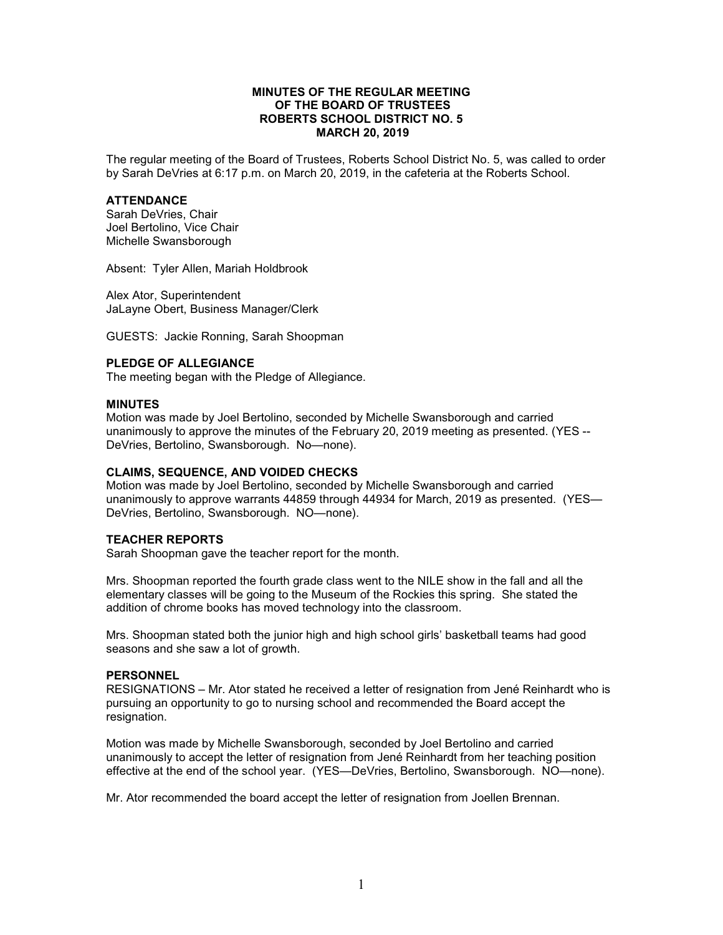## **MINUTES OF THE REGULAR MEETING OF THE BOARD OF TRUSTEES ROBERTS SCHOOL DISTRICT NO. 5 MARCH 20, 2019**

The regular meeting of the Board of Trustees, Roberts School District No. 5, was called to order by Sarah DeVries at 6:17 p.m. on March 20, 2019, in the cafeteria at the Roberts School.

### **ATTENDANCE**

Sarah DeVries, Chair Joel Bertolino, Vice Chair Michelle Swansborough

Absent: Tyler Allen, Mariah Holdbrook

Alex Ator, Superintendent JaLayne Obert, Business Manager/Clerk

GUESTS: Jackie Ronning, Sarah Shoopman

# **PLEDGE OF ALLEGIANCE**

The meeting began with the Pledge of Allegiance.

## **MINUTES**

Motion was made by Joel Bertolino, seconded by Michelle Swansborough and carried unanimously to approve the minutes of the February 20, 2019 meeting as presented. (YES -- DeVries, Bertolino, Swansborough. No—none).

## **CLAIMS, SEQUENCE, AND VOIDED CHECKS**

Motion was made by Joel Bertolino, seconded by Michelle Swansborough and carried unanimously to approve warrants 44859 through 44934 for March, 2019 as presented. (YES— DeVries, Bertolino, Swansborough. NO—none).

#### **TEACHER REPORTS**

Sarah Shoopman gave the teacher report for the month.

Mrs. Shoopman reported the fourth grade class went to the NILE show in the fall and all the elementary classes will be going to the Museum of the Rockies this spring. She stated the addition of chrome books has moved technology into the classroom.

Mrs. Shoopman stated both the junior high and high school girls' basketball teams had good seasons and she saw a lot of growth.

#### **PERSONNEL**

RESIGNATIONS – Mr. Ator stated he received a letter of resignation from Jené Reinhardt who is pursuing an opportunity to go to nursing school and recommended the Board accept the resignation.

Motion was made by Michelle Swansborough, seconded by Joel Bertolino and carried unanimously to accept the letter of resignation from Jené Reinhardt from her teaching position effective at the end of the school year. (YES—DeVries, Bertolino, Swansborough. NO—none).

Mr. Ator recommended the board accept the letter of resignation from Joellen Brennan.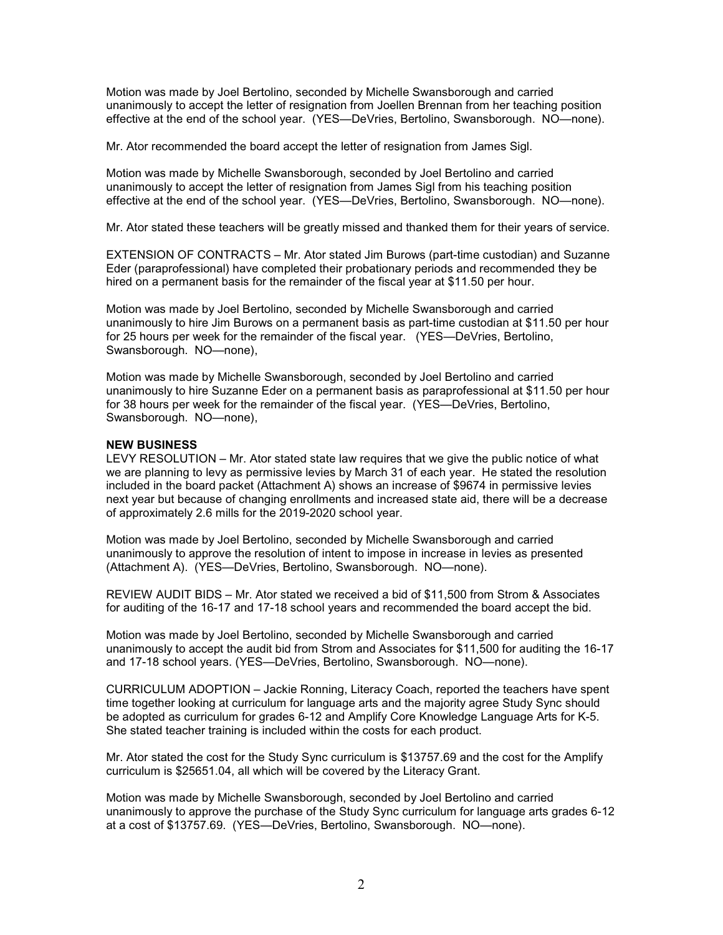Motion was made by Joel Bertolino, seconded by Michelle Swansborough and carried unanimously to accept the letter of resignation from Joellen Brennan from her teaching position effective at the end of the school year. (YES—DeVries, Bertolino, Swansborough. NO—none).

Mr. Ator recommended the board accept the letter of resignation from James Sigl.

Motion was made by Michelle Swansborough, seconded by Joel Bertolino and carried unanimously to accept the letter of resignation from James Sigl from his teaching position effective at the end of the school year. (YES—DeVries, Bertolino, Swansborough. NO—none).

Mr. Ator stated these teachers will be greatly missed and thanked them for their years of service.

EXTENSION OF CONTRACTS – Mr. Ator stated Jim Burows (part-time custodian) and Suzanne Eder (paraprofessional) have completed their probationary periods and recommended they be hired on a permanent basis for the remainder of the fiscal year at \$11.50 per hour.

Motion was made by Joel Bertolino, seconded by Michelle Swansborough and carried unanimously to hire Jim Burows on a permanent basis as part-time custodian at \$11.50 per hour for 25 hours per week for the remainder of the fiscal year. (YES—DeVries, Bertolino, Swansborough. NO—none),

Motion was made by Michelle Swansborough, seconded by Joel Bertolino and carried unanimously to hire Suzanne Eder on a permanent basis as paraprofessional at \$11.50 per hour for 38 hours per week for the remainder of the fiscal year. (YES—DeVries, Bertolino, Swansborough. NO—none),

## **NEW BUSINESS**

LEVY RESOLUTION – Mr. Ator stated state law requires that we give the public notice of what we are planning to levy as permissive levies by March 31 of each year. He stated the resolution included in the board packet (Attachment A) shows an increase of \$9674 in permissive levies next year but because of changing enrollments and increased state aid, there will be a decrease of approximately 2.6 mills for the 2019-2020 school year.

Motion was made by Joel Bertolino, seconded by Michelle Swansborough and carried unanimously to approve the resolution of intent to impose in increase in levies as presented (Attachment A). (YES—DeVries, Bertolino, Swansborough. NO—none).

REVIEW AUDIT BIDS – Mr. Ator stated we received a bid of \$11,500 from Strom & Associates for auditing of the 16-17 and 17-18 school years and recommended the board accept the bid.

Motion was made by Joel Bertolino, seconded by Michelle Swansborough and carried unanimously to accept the audit bid from Strom and Associates for \$11,500 for auditing the 16-17 and 17-18 school years. (YES—DeVries, Bertolino, Swansborough. NO—none).

CURRICULUM ADOPTION – Jackie Ronning, Literacy Coach, reported the teachers have spent time together looking at curriculum for language arts and the majority agree Study Sync should be adopted as curriculum for grades 6-12 and Amplify Core Knowledge Language Arts for K-5. She stated teacher training is included within the costs for each product.

Mr. Ator stated the cost for the Study Sync curriculum is \$13757.69 and the cost for the Amplify curriculum is \$25651.04, all which will be covered by the Literacy Grant.

Motion was made by Michelle Swansborough, seconded by Joel Bertolino and carried unanimously to approve the purchase of the Study Sync curriculum for language arts grades 6-12 at a cost of \$13757.69. (YES—DeVries, Bertolino, Swansborough. NO—none).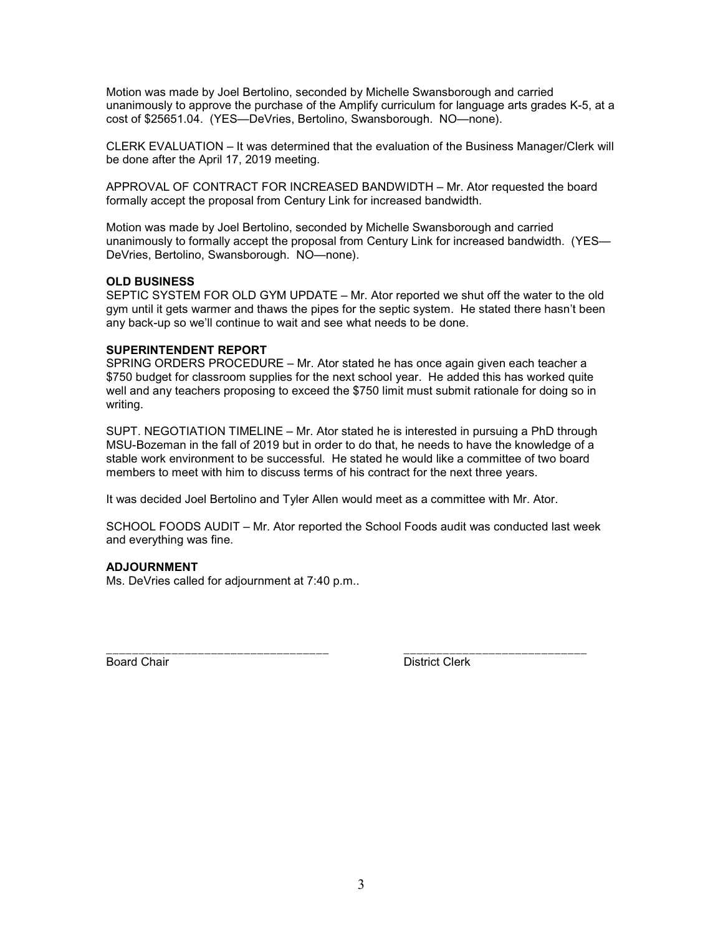Motion was made by Joel Bertolino, seconded by Michelle Swansborough and carried unanimously to approve the purchase of the Amplify curriculum for language arts grades K-5, at a cost of \$25651.04. (YES—DeVries, Bertolino, Swansborough. NO—none).

CLERK EVALUATION – It was determined that the evaluation of the Business Manager/Clerk will be done after the April 17, 2019 meeting.

APPROVAL OF CONTRACT FOR INCREASED BANDWIDTH – Mr. Ator requested the board formally accept the proposal from Century Link for increased bandwidth.

Motion was made by Joel Bertolino, seconded by Michelle Swansborough and carried unanimously to formally accept the proposal from Century Link for increased bandwidth. (YES— DeVries, Bertolino, Swansborough. NO—none).

## **OLD BUSINESS**

SEPTIC SYSTEM FOR OLD GYM UPDATE – Mr. Ator reported we shut off the water to the old gym until it gets warmer and thaws the pipes for the septic system. He stated there hasn't been any back-up so we'll continue to wait and see what needs to be done.

# **SUPERINTENDENT REPORT**

SPRING ORDERS PROCEDURE – Mr. Ator stated he has once again given each teacher a \$750 budget for classroom supplies for the next school year. He added this has worked quite well and any teachers proposing to exceed the \$750 limit must submit rationale for doing so in writing.

SUPT. NEGOTIATION TIMELINE – Mr. Ator stated he is interested in pursuing a PhD through MSU-Bozeman in the fall of 2019 but in order to do that, he needs to have the knowledge of a stable work environment to be successful. He stated he would like a committee of two board members to meet with him to discuss terms of his contract for the next three years.

It was decided Joel Bertolino and Tyler Allen would meet as a committee with Mr. Ator.

SCHOOL FOODS AUDIT – Mr. Ator reported the School Foods audit was conducted last week and everything was fine.

\_\_\_\_\_\_\_\_\_\_\_\_\_\_\_\_\_\_\_\_\_\_\_\_\_\_\_\_\_\_\_\_\_\_ \_\_\_\_\_\_\_\_\_\_\_\_\_\_\_\_\_\_\_\_\_\_\_\_\_\_\_\_

## **ADJOURNMENT**

Ms. DeVries called for adjournment at 7:40 p.m..

Board Chair **District Clerk**